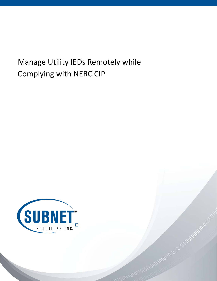# Manage Utility IEDs Remotely while Complying with NERC CIP



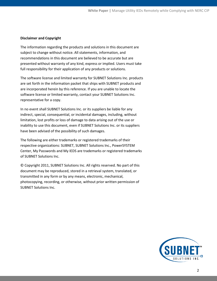#### **Disclaimer and Copyright**

The information regarding the products and solutions in this document are subject to change without notice. All statements, information, and recommendations in this document are believed to be accurate but are presented without warranty of any kind, express or implied. Users must take full responsibility for their application of any products or solutions.

The software license and limited warranty for SUBNET Solutions Inc. products are set forth in the information packet that ships with SUBNET products and are incorporated herein by this reference. If you are unable to locate the software license or limited warranty, contact your SUBNET Solutions Inc. representative for a copy.

In no event shall SUBNET Solutions Inc. or its suppliers be liable for any indirect, special, consequential, or incidental damages, including, without limitation, lost profits or loss of damage to data arising out of the use or inability to use this document, even if SUBNET Solutions Inc. or its suppliers have been advised of the possibility of such damages.

The following are either trademarks or registered trademarks of their respective organizations: SUBNET, SUBNET Solutions Inc., PowerSYSTEM Center, My Passwords and My IEDS are trademarks or registered trademarks of SUBNET Solutions Inc.

© Copyright 2011, SUBNET Solutions Inc. All rights reserved. No part of this document may be reproduced, stored in a retrieval system, translated, or transmitted in any form or by any means, electronic, mechanical, photocopying, recording, or otherwise, without prior written permission of SUBNET Solutions Inc.

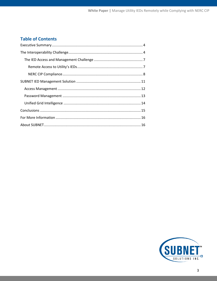# **Table of Contents**

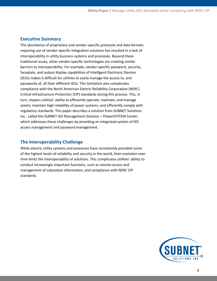## <span id="page-3-0"></span>**Executive Summary**

The abundance of proprietary and vendor-specific protocols and data formats requiring use of vendor-specific integration solutions has resulted in a lack of interoperability in utility business systems and processes. Beyond these traditional issues, other vendor-specific technologies are creating similar barriers to interoperability. For example, vendor-specific password, security, faceplate, and output display capabilities of Intelligent Electronic Devices (IEDs) makes it difficult for utilities to easily manage the access to, and passwords of, all their different IEDs. This limitation also complicates compliance with the North American Electric Reliability Corporation (NERC) Critical Infrastructure Protection (CIP) standards during this process. This, in turn, impairs utilities' ability to efficiently operate, maintain, and manage assets; maintain high reliability of power systems; and efficiently comply with regulatory standards. This paper describes a solution from SUBNET Solutions Inc., called the SUBNET IED Management Solution – PowerSYSTEM Center, which addresses these challenges by providing an integrated system of IED access management and password management.

# <span id="page-3-1"></span>**The Interoperability Challenge**

While electric utility systems and processes have consistently provided some of the highest levels of reliability and security in the world, their evolution over time limits the interoperability of solutions. This complicates utilities' ability to conduct increasingly important functions, such as remote access and management of substation information, and compliance with NERC CIP standards.

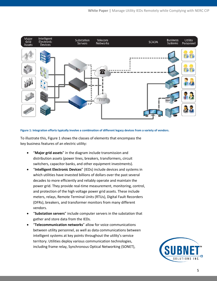

**Figure 1: Integration efforts typically involve a combination of different legacy devices from a variety of vendors.**

To illustrate this, Figure 1 shows the classes of elements that encompass the key business features of an electric utility:

- "**Major grid assets**" in the diagram include transmission and distribution assets (power lines, breakers, transformers, circuit switchers, capacitor banks, and other equipment investments).
- "**Intelligent Electronic Devices**" (IEDs) include devices and systems in which utilities have invested billions of dollars over the past several decades to more efficiently and reliably operate and maintain the power grid. They provide real-time measurement, monitoring, control, and protection of the high voltage power grid assets. These include meters, relays, Remote Terminal Units (RTUs), Digital Fault Recorders (DFRs), breakers, and transformer monitors from many different vendors.
- "**Substation servers**" include computer servers in the substation that gather and store data from the IEDs.
- "**Telecommunication networks**" allow for voice communications between utility personnel, as well as data communications between intelligent systems at key points throughout the utility's service territory. Utilities deploy various communication technologies, including frame relay, Synchronous Optical Networking (SONET),

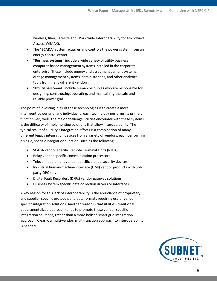wireless, fiber, satellite and Worldwide Interoperability for Microwave Access (WiMAX).

- The "**SCADA**" system acquires and controls the power system from an energy control center.
- "**Business systems**" include a wide variety of utility business computer-based management systems installed in the corporate enterprise. These include energy and asset management systems, outage management systems, data historians, and other analytical tools from many different vendors.
- "**Utility personnel**" include human resources who are responsible for designing, constructing, operating, and maintaining the safe and reliable power grid.

The point of investing in all of these technologies is to create a more intelligent power grid, and individually, each technology performs its primary function very well. The major challenge utilities encounter with these systems is the difficulty of implementing solutions that allow interoperability. The typical result of a utility's integration efforts is a combination of many different legacy integration devices from a variety of vendors, each performing a single, specific integration function, such as the following:

- SCADA vendor specific Remote Terminal Units (RTUs)
- Relay vendor specific communication processors
- Telecom equipment vendor specific dial-up security devices
- Industrial human-machine interface (HMI) vendor products with 3rdparty OPC servers
- Digital Fault Recorders (DFRs) vendor gateway solutions
- Business system specific data-collection drivers or interfaces

A key reason for this lack of interoperability is the abundance of proprietary and supplier-specific protocols and data formats requiring use of vendorspecific integration solutions. Another reason is that utilities' traditional departmentalized approach tends to promote these vendor-specific integration solutions, rather than a more holistic smart grid integration approach. Clearly, a multi-vendor, multi-function approach to interoperability is needed.

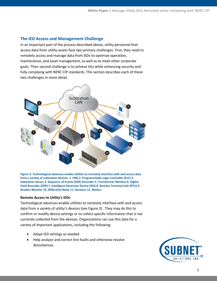## <span id="page-6-0"></span>**The IED Access and Management Challenge**

In an important part of the process described above, utility personnel that access data from utility assets face two primary challenges. First, they need to remotely access and manage data from IEDs to optimize operation, maintenance, and asset management, as well as to meet other corporate goals. Their second challenge is to achieve this while enhancing security and fully complying with NERC CIP standards. This section describes each of these two challenges in more detail.



**Figure 2: Technological advances enable utilities to remotely interface with and access data from a variety of substation devices. 1. HMI 2. Programmable Logic Controller (PLC) 3. Substation Server 4. Sequence of Events (SOE) Recorder 5. Transformer Monitor 6. Digital Fault Recorder (DFR) 7. Intelligent Electronic Device (IED) 8. Remote Terminal Unit (RTU) 9. Breaker Monitor 10. Differntial Relay 11. Recloser 12. Meters**

#### <span id="page-6-1"></span>**Remote Access to Utility's IEDs**

Technological advances enable utilities to remotely interface with and access data from a variety of utility's devices (see Figure 2). They may do this to confirm or modify device settings or to collect specific information that is not currently collected from the devices. Organizations can use this data for a variety of important applications, including the following:

- Adapt IED settings as needed
- Help analyze and correct line faults and otherwise resolve disturbances

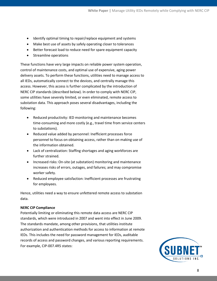- Identify optimal timing to repair/replace equipment and systems
- Make best use of assets by safely operating closer to tolerances
- Better forecast load to reduce need for spare equipment capacity
- Streamline operations

These functions have very large impacts on reliable power system operation, control of maintenance costs, and optimal use of expensive, aging power delivery assets. To perform these functions, utilities need to manage access to all IEDs, automatically connect to the devices, and centrally manage this access. However, this access is further complicated by the introduction of NERC CIP standards (described below). In order to comply with NERC CIP, some utilities have severely limited, or even eliminated, remote access to substation data. This approach poses several disadvantages, including the following:

- Reduced productivity: IED monitoring and maintenance becomes time-consuming and more costly (e.g., travel time from service centers to substations).
- Reduced value added by personnel: Inefficient processes force personnel to focus on obtaining access, rather than on making use of the information obtained.
- Lack of centralization: Staffing shortages and aging workforces are further strained.
- Increased risks: On-site (at substation) monitoring and maintenance increases risks of errors, outages, and failures; and may compromise worker safety.
- Reduced employee satisfaction: Inefficient processes are frustrating for employees.

Hence, utilities need a way to ensure unfettered remote access to substation data.

#### <span id="page-7-0"></span>**NERC CIP Compliance**

Potentially limiting or eliminating this remote data access are NERC CIP standards, which were introduced in 2007 and went into effect in June 2009. The standards mandate, among other provisions, that utilities institute authorization and authentication methods for access to information at remote IEDs. This includes the need for password management for IEDs, auditable records of access and password changes, and various reporting requirements. For example, CIP-007.4R5 states:

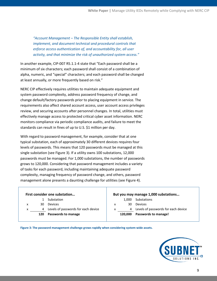*"Account Management – The Responsible Entity shall establish, implement, and document technical and procedural controls that enforce access authentication of, and accountability for, all user activity, and that minimize the risk of unauthorized system access."*

In another example, CIP-007 R5.1.1-4 state that "Each password shall be a minimum of six characters; each password shall consist of a combination of alpha, numeric, and "special" characters; and each password shall be changed at least annually, or more frequently based on risk."

NERC CIP effectively requires utilities to maintain adequate equipment and system password complexity, address password frequency of change, and change default/factory passwords prior to placing equipment in service. The requirements also affect shared account access, user account access privileges review, and securing accounts after personnel changes. In total, utilities must effectively manage access to protected critical cyber asset information. NERC monitors compliance via periodic compliance audits, and failure to meet the standards can result in fines of up to U.S. \$1 million per day.

With regard to password management, for example, consider that at one typical substation, each of approximately 30 different devices requires four levels of passwords. This means that 120 passwords must be managed at this single substation (see Figure 3). If a utility owns 100 substations, 12,000 passwords must be managed. For 1,000 substations, the number of passwords grows to 120,000. Considering that password management includes a variety of tasks for each password, including maintaining adequate password complexity, managing frequency of password change, and others, password management alone presents a daunting challenge for utilities (see Figure 4).

| First consider one substation |     |                                     | But you may manage 1,000 substations |         |                                     |
|-------------------------------|-----|-------------------------------------|--------------------------------------|---------|-------------------------------------|
|                               |     | Substation                          |                                      | 1.000   | Substations                         |
| х                             | 30  | Devices                             | x                                    | 30      | Devices                             |
| x                             | 4   | Levels of passwords for each device | x                                    | 4       | Levels of passwords for each device |
|                               | 120 | Passwords to manage                 |                                      | 120,000 | Passwords to manage!                |

**Figure 3: The password management challenge grows rapidly when considering system-wide assets.**

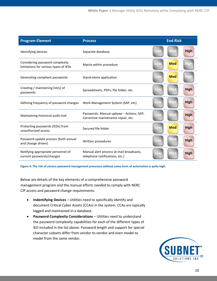| <b>Program Element</b>                                                   | <b>Process</b>                                                                  |     | <b>End Risk</b> |             |
|--------------------------------------------------------------------------|---------------------------------------------------------------------------------|-----|-----------------|-------------|
| Identifying devices                                                      | Separate database                                                               | Low | Med             | <b>High</b> |
| Considering password complexity<br>limitations for various types of IEDs | Matrix within procedure                                                         | Low | <b>Med</b>      | <b>High</b> |
| Generating compliant passwords                                           | Stand-alone application                                                         | Low | <b>Med</b>      | High        |
| Creating / maintaining list(s) of<br>passwords                           | Spreadsheets, PDFs, file folder, etc.                                           | Low | <b>Med</b>      | <b>High</b> |
| Defining frequency of password changes                                   | Work Management System (SAP, etc)                                               | Low | <b>Med</b>      | <b>High</b> |
| Maintaining historical audit trail                                       | Passwords: Manual upkeep - Actions: SAP,<br>Corrective maintenance repair, etc. | Low | <b>Med</b>      | <b>High</b> |
| Protecting passwords (IEDs) from<br>unauthorized access                  | Secured file folder                                                             | Low | <b>Med</b>      | <b>High</b> |
| Password update process (both annual<br>and change driven)               | Written procedures                                                              | Low | <b>Med</b>      | <b>High</b> |
| Notifying appropriate personnel of<br>current passwords/changes          | Manual alert process (e-mail broadcasts,<br>telephone notifications, etc.)      | Low | <b>Med</b>      | <b>High</b> |

**Figure 4: The risk of various password management processes without some form of automation is quite high.**

Below are details of the key elements of a comprehensive password management program and the manual efforts needed to comply with NERC CIP access and password change requirements:

- **Indentifying Devices** Utilities need to specifically identify and document Critical Cyber Assets (CCAs) in the system. CCAs are typically logged and maintained in a database.
- **Password Complexity Considerations** Utilities need to understand the password complexity capabilities for each of the different types of IED included in the list above. Password length and support for special character subsets differ from vendor to vendor and even model to model from the same vendor.

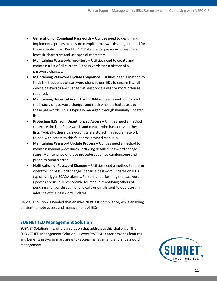- **Generation of Compliant Passwords** Utilities need to design and implement a process to ensure compliant passwords are generated for these specific IEDs. Per NERC CIP standards, passwords must be at least six characters and use special characters.
- **Maintaining Passwords Inventory** Utilities need to create and maintain a list of all current IED passwords and a history of all password changes.
- **Maintaining Password Update Frequency** Utilities need a method to track the frequency of password changes per IEDs to ensure that all device passwords are changed at least once a year or more often as required.
- **Maintaining Historical Audit Trail** Utilities need a method to track the history of password changes and track who has had access to these passwords. This is typically managed through manually updated lists.
- **Protecting IEDs from Unauthorized Access** Utilities need a method to secure the list of passwords and control who has access to these lists. Typically, these password lists are stored in a secure network folder, with access to this folder maintained manually.
- **Maintaining Password Update Process** Utilities need a method to maintain manual procedures, including detailed password change steps. Maintenance of these procedures can be cumbersome and prone to human error.
- **Notification of Password Changes** Utilities need a method to inform operators of password changes because password updates on IEDs typically trigger SCADA alarms. Personnel performing the password updates are usually responsible for manually notifying others of pending changes through phone calls or emails sent to operators in advance of the password updates.

Hence, a solution is needed that enables NERC CIP compliance, while enabling efficient remote access and management of IEDs.

# <span id="page-10-0"></span>**SUBNET IED Management Solution**

SUBNET Solutions Inc. offers a solution that addresses this challenge. The SUBNET IED Management Solution – PowerSYSTEM Center provides features and benefits in two primary areas: 1) access management, and 2) password management.

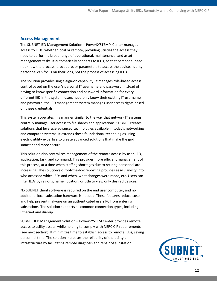### <span id="page-11-0"></span>**Access Management**

The SUBNET IED Management Solution – PowerSYSTEM™ Center manages access to IEDs, whether local or remote, providing utilities the access they need to perform a broad range of operational, maintenance, and asset management tasks. It automatically connects to IEDs, so that personnel need not know the process, procedure, or parameters to access the devices; utility personnel can focus on their jobs, not the process of accessing IEDs.

The solution provides single-sign-on capability. It manages role-based access control based on the user's personal IT username and password. Instead of having to know specific connection and password information for every different IED in the system, users need only know their existing IT username and password; the IED management system manages user access rights based on these credentials.

This system operates in a manner similar to the way that network IT systems centrally manage user access to file shares and applications. SUBNET creates solutions that leverage advanced technologies available in today's networking and computer systems. It extends these foundational technologies using electric utility expertise to create advanced solutions that make the grid smarter and more secure.

This solution also centralizes management of the remote access by user, IED, application, task, and command. This provides more efficient management of this process, at a time when staffing shortages due to retiring personnel are increasing. The solution's out-of-the-box reporting provides easy visibility into who accessed which IEDs and when, what changes were made, etc. Users can filter IEDs by regions, name, location, or title to view only desired devices.

No SUBNET client software is required on the end user computer, and no additional local substation hardware is needed. These features reduce costs and help prevent malware on an authenticated users PC from entering substations. The solution supports all common connection types, including Ethernet and dial-up.

SUBNET IED Management Solution – PowerSYSTEM Center provides remote access to utility assets, while helping to comply with NERC CIP requirements (see next section). It minimizes time to establish access to remote IEDs, saving personnel time. The solution increases the reliability of the utility's infrastructure by facilitating remote diagnosis and repair of substation

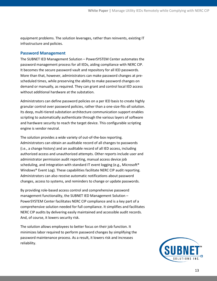equipment problems. The solution leverages, rather than reinvents, existing IT infrastructure and policies.

#### <span id="page-12-0"></span>**Password Management**

The SUBNET IED Management Solution – PowerSYSTEM Center automates the password management process for all IEDs, aiding compliance with NERC CIP. It becomes the secure password vault and repository for all IED passwords. More than that, however, administrators can make password changes at prescheduled times, while preserving the ability to make password changes on demand or manually, as required. They can grant and control local IED access without additional hardware at the substation.

Administrators can define password policies on a per IED basis to create highly granular control over password policies, rather than a one-size-fits-all solution. Its deep, multi-tiered substation architecture communication support enables scripting to automatically authenticate through the various layers of software and hardware security to reach the target device. This configurable scripting engine is vendor neutral.

The solution provides a wide variety of out-of-the-box reporting. Administrators can obtain an auditable record of all changes to passwords (i.e., a change history) and an auditable record of all IED access, including authorized access and unauthorized attempts. Other reports include user and administrator permission audit reporting, manual access device job scheduling, and integration with standard IT event logging (e.g., Microsoft® Windows® Event Log). These capabilities facilitate NERC CIP audit reporting. Administrators can also receive automatic notifications about password changes, access to systems, and reminders to change or update passwords.

By providing role-based access control and comprehensive password management functionality, the SUBNET IED Management Solution – PowerSYSTEM Center facilitates NERC CIP compliance and is a key part of a comprehensive solution needed for full compliance. It simplifies and facilitates NERC CIP audits by delivering easily maintained and accessible audit records. And, of course, it lowers security risk.

The solution allows employees to better focus on their job function. It minimizes labor required to perform password changes by simplifying the password maintenance process. As a result, it lowers risk and increases reliability.

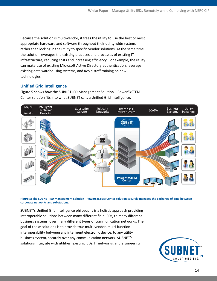Because the solution is multi-vendor, it frees the utility to use the best or most appropriate hardware and software throughout their utility wide system, rather than locking in the utility to specific vendor solutions. At the same time, the solution leverages the existing practices and processes of existing IT infrastructure, reducing costs and increasing efficiency. For example, the utility can make use of existing Microsoft Active Directory authentication, leverage existing data warehousing systems, and avoid staff training on new technologies.

## <span id="page-13-0"></span>**Unified Grid Intelligence**

Figure 5 shows how the SUBNET IED Management Solution – PowerSYSTEM Center solution fits into what SUBNET calls a Unified Grid Intelligence.



**Figure 5: The SUBNET IED Management Solution - PowerSYSTEM Center solution securely manages the exchange of data between corporate networks and substations.**

SUBNET's Unified Grid Intelligence philosophy is a holistic approach providing interoperable solutions between many different field IEDs, to many different business systems, over many different types of communication networks. The goal of these solutions is to provide true multi-vendor, multi-function interoperability between any intelligent electronic device, to any utility business system, securely over any communication network. SUBNET's solutions integrate with utilities' existing IEDs, IT networks, and engineering

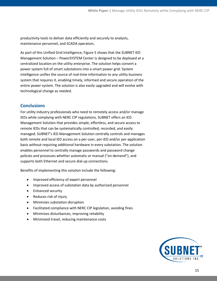productivity tools to deliver data efficiently and securely to analysts, maintenance personnel, and SCADA operators.

As part of this Unified Grid Intelligence, Figure 5 shows that the SUBNET IED Management Solution – PowerSYSTEM Center is designed to be deployed at a centralized location on the utility enterprise. The solution helps convert a power system full of smart substations into a smart power grid. System intelligence unifies the source of real-time information to any utility business system that requires it, enabling timely, informed and secure operation of the entire power system. The solution is also easily upgraded and will evolve with technological change as needed.

# <span id="page-14-0"></span>**Conclusions**

For utility industry professionals who need to remotely access and/or manage IEDs while complying with NERC CIP regulations, SUBNET offers an IED Management Solution that provides simple, effortless, and secure access to remote IEDs that can be systematically controlled, recorded, and easily managed. SUBNET's IED Management Solution centrally controls and manages both remote and local IED access on a per-user, per-IED and/or per-application basis without requiring additional hardware in every substation. The solution enables personnel to centrally manage passwords and password change policies and processes whether automatic or manual ("on demand"), and supports both Ethernet and secure dial-up connections.

Benefits of implementing this solution include the following:

- Improved efficiency of expert personnel
- Improved access of substation data by authorized personnel
- Enhanced security
- Reduces risk of injury
- Minimizes substation disruption
- Facilitated compliance with NERC CIP legislation, avoiding fines
- Minimizes disturbances, improving reliability
- Minimized travel, reducing maintenance costs